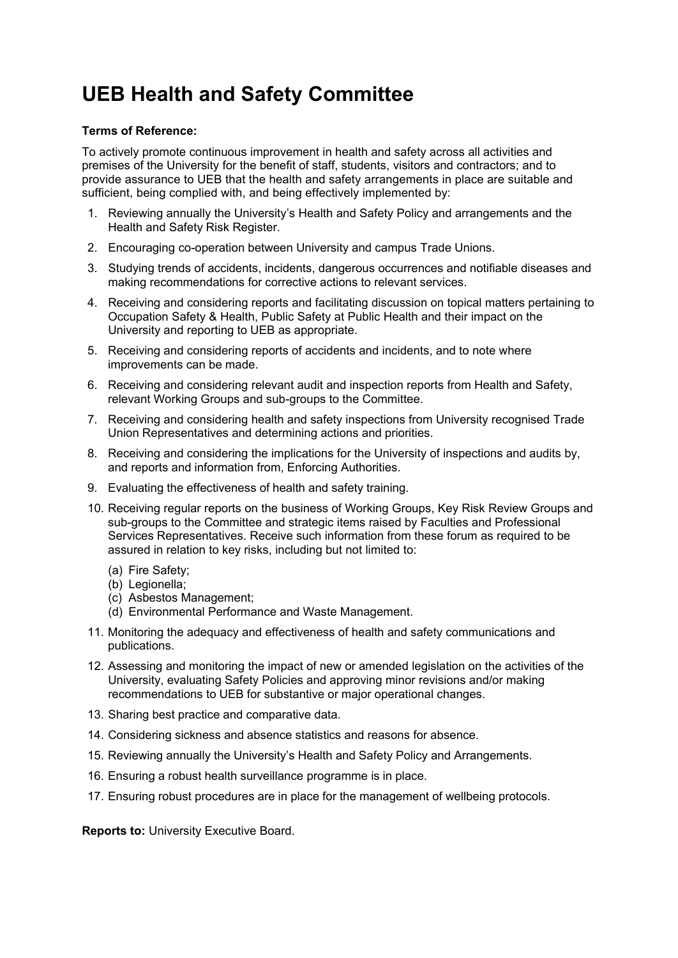## **UEB Health and Safety Committee**

## **Terms of Reference:**

To actively promote continuous improvement in health and safety across all activities and premises of the University for the benefit of staff, students, visitors and contractors; and to provide assurance to UEB that the health and safety arrangements in place are suitable and sufficient, being complied with, and being effectively implemented by:

- 1. Reviewing annually the University's Health and Safety Policy and arrangements and the Health and Safety Risk Register.
- 2. Encouraging co-operation between University and campus Trade Unions.
- 3. Studying trends of accidents, incidents, dangerous occurrences and notifiable diseases and making recommendations for corrective actions to relevant services.
- 4. Receiving and considering reports and facilitating discussion on topical matters pertaining to Occupation Safety & Health, Public Safety at Public Health and their impact on the University and reporting to UEB as appropriate.
- 5. Receiving and considering reports of accidents and incidents, and to note where improvements can be made.
- 6. Receiving and considering relevant audit and inspection reports from Health and Safety, relevant Working Groups and sub-groups to the Committee.
- 7. Receiving and considering health and safety inspections from University recognised Trade Union Representatives and determining actions and priorities.
- 8. Receiving and considering the implications for the University of inspections and audits by, and reports and information from, Enforcing Authorities.
- 9. Evaluating the effectiveness of health and safety training.
- 10. Receiving regular reports on the business of Working Groups, Key Risk Review Groups and sub-groups to the Committee and strategic items raised by Faculties and Professional Services Representatives. Receive such information from these forum as required to be assured in relation to key risks, including but not limited to:
	- (a) Fire Safety;
	- (b) Legionella;
	- (c) Asbestos Management;
	- (d) Environmental Performance and Waste Management.
- 11. Monitoring the adequacy and effectiveness of health and safety communications and publications.
- 12. Assessing and monitoring the impact of new or amended legislation on the activities of the University, evaluating Safety Policies and approving minor revisions and/or making recommendations to UEB for substantive or major operational changes.
- 13. Sharing best practice and comparative data.
- 14. Considering sickness and absence statistics and reasons for absence.
- 15. Reviewing annually the University's Health and Safety Policy and Arrangements.
- 16. Ensuring a robust health surveillance programme is in place.
- 17. Ensuring robust procedures are in place for the management of wellbeing protocols.

**Reports to:** University Executive Board.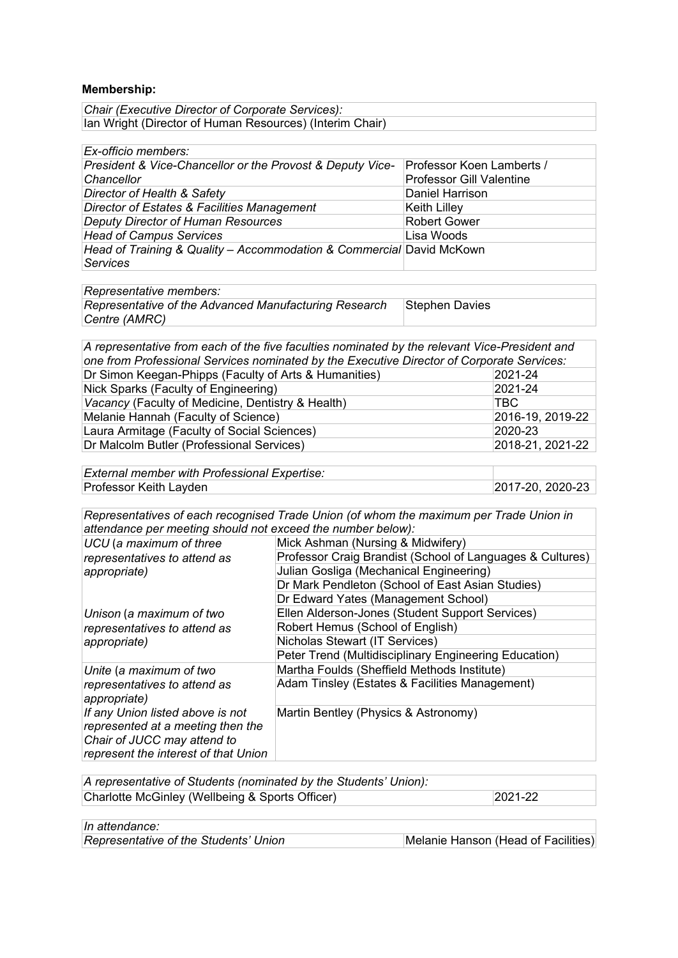## **Membership:**

| Chair (Executive Director of Corporate Services):        |  |
|----------------------------------------------------------|--|
| Ian Wright (Director of Human Resources) (Interim Chair) |  |

| Ex-officio members:                                                                     |                                                              |
|-----------------------------------------------------------------------------------------|--------------------------------------------------------------|
| President & Vice-Chancellor or the Provost & Deputy Vice-<br>Chancellor                 | Professor Koen Lamberts /<br><b>Professor Gill Valentine</b> |
|                                                                                         |                                                              |
| Director of Health & Safety                                                             | <b>Daniel Harrison</b>                                       |
| Director of Estates & Facilities Management                                             | <b>Keith Lilley</b>                                          |
| <b>Deputy Director of Human Resources</b>                                               | <b>Robert Gower</b>                                          |
| <b>Head of Campus Services</b>                                                          | Lisa Woods                                                   |
| Head of Training & Quality - Accommodation & Commercial David McKown<br><b>Services</b> |                                                              |

| Representative members:                               |                 |
|-------------------------------------------------------|-----------------|
| Representative of the Advanced Manufacturing Research | ∃Stephen Davies |
| Centre (AMRC)                                         |                 |

| A representative from each of the five faculties nominated by the relevant Vice-President and |
|-----------------------------------------------------------------------------------------------|
| one from Professional Services nominated by the Executive Director of Corporate Services:     |
| 2021-24                                                                                       |
| 2021-24                                                                                       |
| TBC.                                                                                          |
| 2016-19, 2019-22                                                                              |
| 2020-23                                                                                       |
| 2018-21, 2021-22                                                                              |
|                                                                                               |

| <b>External member with Professional Expertise:</b> |                  |
|-----------------------------------------------------|------------------|
| Professor Keith Layden                              | 2017-20, 2020-23 |

*Representatives of each recognised Trade Union (of whom the maximum per Trade Union in attendance per meeting should not exceed the number below):*

| UCU (a maximum of three                                                  | Mick Ashman (Nursing & Midwifery)                         |
|--------------------------------------------------------------------------|-----------------------------------------------------------|
| representatives to attend as                                             | Professor Craig Brandist (School of Languages & Cultures) |
| appropriate)                                                             | Julian Gosliga (Mechanical Engineering)                   |
|                                                                          | Dr Mark Pendleton (School of East Asian Studies)          |
|                                                                          | Dr Edward Yates (Management School)                       |
| Unison (a maximum of two<br>representatives to attend as<br>appropriate) | Ellen Alderson-Jones (Student Support Services)           |
|                                                                          | Robert Hemus (School of English)                          |
|                                                                          | Nicholas Stewart (IT Services)                            |
|                                                                          | Peter Trend (Multidisciplinary Engineering Education)     |
| Unite (a maximum of two                                                  | Martha Foulds (Sheffield Methods Institute)               |
| representatives to attend as                                             | Adam Tinsley (Estates & Facilities Management)            |
| appropriate)                                                             |                                                           |
| If any Union listed above is not                                         | Martin Bentley (Physics & Astronomy)                      |
| represented at a meeting then the                                        |                                                           |
| Chair of JUCC may attend to                                              |                                                           |
| represent the interest of that Union                                     |                                                           |

| A representative of Students (nominated by the Students' Union): |             |
|------------------------------------------------------------------|-------------|
| Charlotte McGinley (Wellbeing & Sports Officer)                  | $2021 - 22$ |

| In attendance:                        |                                     |
|---------------------------------------|-------------------------------------|
| Representative of the Students' Union | Melanie Hanson (Head of Facilities) |